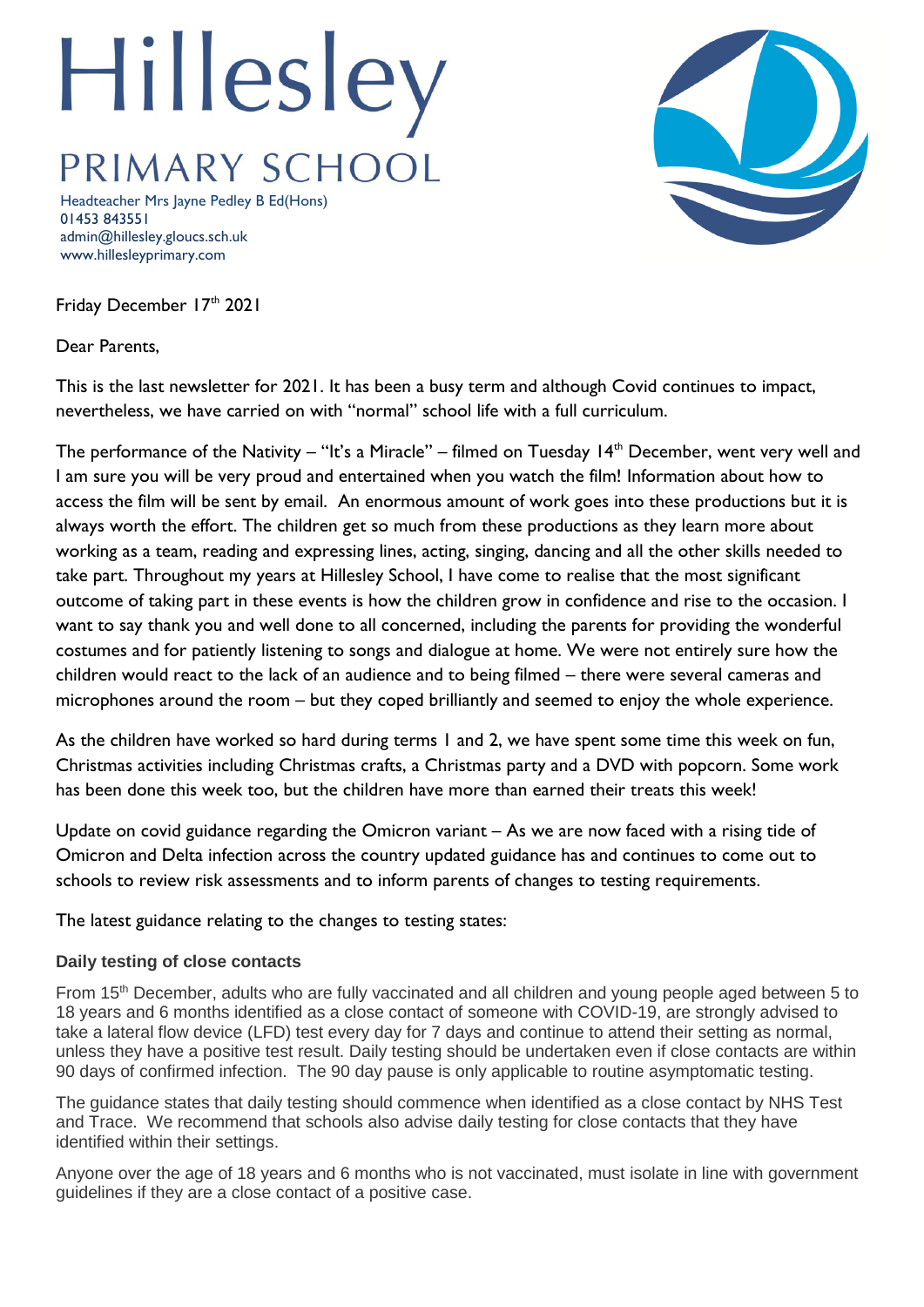## Hillesley PRIMARY SCHOOL

Headteacher Mrs Jayne Pedley B Ed(Hons) 01453 843551 admin@hillesley.gloucs.sch.uk www.hillesleyprimary.com

Friday December 17th 2021

Dear Parents,

This is the last newsletter for 2021. It has been a busy term and although Covid continues to impact, nevertheless, we have carried on with "normal" school life with a full curriculum.

The performance of the Nativity – "It's a Miracle" – filmed on Tuesday  $14<sup>th</sup>$  December, went very well and I am sure you will be very proud and entertained when you watch the film! Information about how to access the film will be sent by email. An enormous amount of work goes into these productions but it is always worth the effort. The children get so much from these productions as they learn more about working as a team, reading and expressing lines, acting, singing, dancing and all the other skills needed to take part. Throughout my years at Hillesley School, I have come to realise that the most significant outcome of taking part in these events is how the children grow in confidence and rise to the occasion. I want to say thank you and well done to all concerned, including the parents for providing the wonderful costumes and for patiently listening to songs and dialogue at home. We were not entirely sure how the children would react to the lack of an audience and to being filmed – there were several cameras and microphones around the room – but they coped brilliantly and seemed to enjoy the whole experience.

As the children have worked so hard during terms 1 and 2, we have spent some time this week on fun, Christmas activities including Christmas crafts, a Christmas party and a DVD with popcorn. Some work has been done this week too, but the children have more than earned their treats this week!

Update on covid guidance regarding the Omicron variant – As we are now faced with a rising tide of Omicron and Delta infection across the country updated guidance has and continues to come out to schools to review risk assessments and to inform parents of changes to testing requirements.

The latest guidance relating to the changes to testing states:

## **Daily testing of close contacts**

From 15th December, adults who are fully vaccinated and all children and young people aged between 5 to 18 years and 6 months identified as a close contact of someone with COVID-19, are strongly advised to take a lateral flow device (LFD) test every day for 7 days and continue to attend their setting as normal, unless they have a positive test result. Daily testing should be undertaken even if close contacts are within 90 days of confirmed infection. The 90 day pause is only applicable to routine asymptomatic testing.

The guidance states that daily testing should commence when identified as a close contact by NHS Test and Trace. We recommend that schools also advise daily testing for close contacts that they have identified within their settings.

Anyone over the age of 18 years and 6 months who is not vaccinated, must isolate in line with government guidelines if they are a close contact of a positive case.